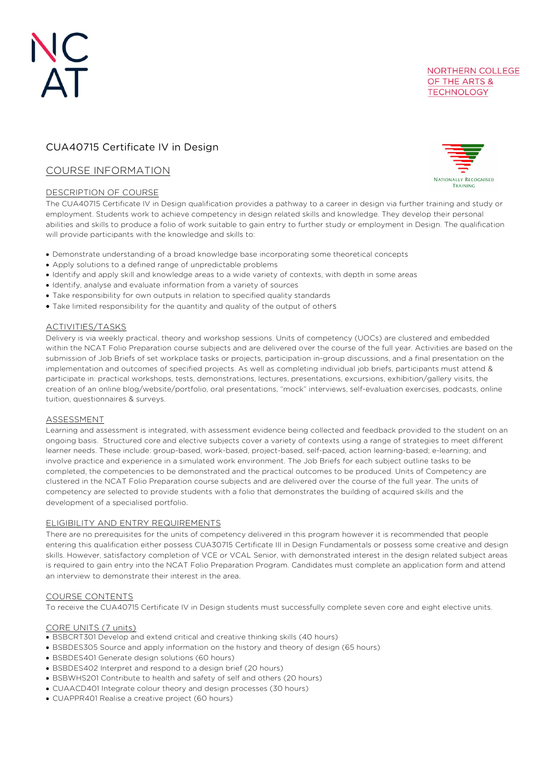# CUA40715 Certificate IV in Design

# COURSE INFORMATION

# DESCRIPTION OF COURSE

**NORTHERN COLLEGE** OF THE ARTS & **TECHNOLOGY** 

**NATIONALLY RECOGNISED** TRAINING

The CUA40715 Certificate IV in Design qualification provides a pathway to a career in design via further training and study or employment. Students work to achieve competency in design related skills and knowledge. They develop their personal abilities and skills to produce a folio of work suitable to gain entry to further study or employment in Design. The qualification will provide participants with the knowledge and skills to:

- Demonstrate understanding of a broad knowledge base incorporating some theoretical concepts
- Apply solutions to a defined range of unpredictable problems
- Identify and apply skill and knowledge areas to a wide variety of contexts, with depth in some areas
- Identify, analyse and evaluate information from a variety of sources
- Take responsibility for own outputs in relation to specified quality standards
- Take limited responsibility for the quantity and quality of the output of others

# ACTIVITIES/TASKS

Delivery is via weekly practical, theory and workshop sessions. Units of competency (UOCs) are clustered and embedded within the NCAT Folio Preparation course subjects and are delivered over the course of the full year. Activities are based on the submission of Job Briefs of set workplace tasks or projects, participation in-group discussions, and a final presentation on the implementation and outcomes of specified projects. As well as completing individual job briefs, participants must attend & participate in: practical workshops, tests, demonstrations, lectures, presentations, excursions, exhibition/gallery visits, the creation of an online blog/website/portfolio, oral presentations, "mock" interviews, self-evaluation exercises, podcasts, online tuition, questionnaires & surveys.

# ASSESSMENT

Learning and assessment is integrated, with assessment evidence being collected and feedback provided to the student on an ongoing basis. Structured core and elective subjects cover a variety of contexts using a range of strategies to meet different learner needs. These include: group-based, work-based, project-based, self-paced, action learning-based; e-learning; and involve practice and experience in a simulated work environment. The Job Briefs for each subject outline tasks to be completed, the competencies to be demonstrated and the practical outcomes to be produced. Units of Competency are clustered in the NCAT Folio Preparation course subjects and are delivered over the course of the full year. The units of competency are selected to provide students with a folio that demonstrates the building of acquired skills and the development of a specialised portfolio.

# ELIGIBILITY AND ENTRY REQUIREMENTS

There are no prerequisites for the units of competency delivered in this program however it is recommended that people entering this qualification either possess CUA30715 Certificate III in Design Fundamentals or possess some creative and design skills. However, satisfactory completion of VCE or VCAL Senior, with demonstrated interest in the design related subject areas is required to gain entry into the NCAT Folio Preparation Program. Candidates must complete an application form and attend an interview to demonstrate their interest in the area.

# COURSE CONTENTS

To receive the CUA40715 Certificate IV in Design students must successfully complete seven core and eight elective units.

# CORE UNITS (7 units)

- BSBCRT301 Develop and extend critical and creative thinking skills (40 hours)
- BSBDES305 Source and apply information on the history and theory of design (65 hours)
- BSBDES401 Generate design solutions (60 hours)
- BSBDES402 Interpret and respond to a design brief (20 hours)
- BSBWHS201 Contribute to health and safety of self and others (20 hours)
- CUAACD401 Integrate colour theory and design processes (30 hours)
- CUAPPR401 Realise a creative project (60 hours)